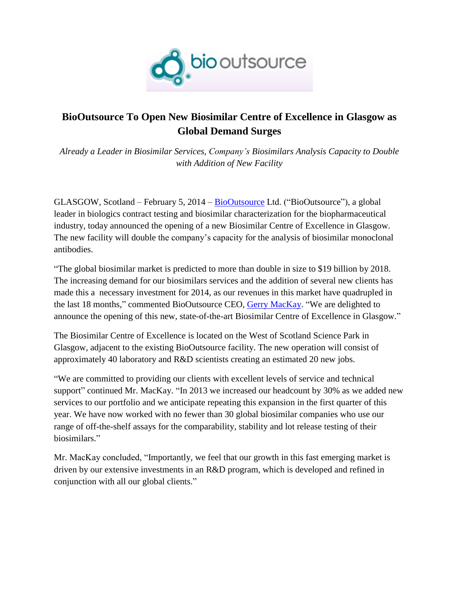

## **BioOutsource To Open New Biosimilar Centre of Excellence in Glasgow as Global Demand Surges**

*Already a Leader in Biosimilar Services, Company's Biosimilars Analysis Capacity to Double with Addition of New Facility*

GLASGOW, Scotland – February 5, 2014 – [BioOutsource](http://www.biooutsource.com/) Ltd. ("BioOutsource"), a global leader in biologics contract testing and biosimilar characterization for the biopharmaceutical industry, today announced the opening of a new Biosimilar Centre of Excellence in Glasgow. The new facility will double the company's capacity for the analysis of biosimilar monoclonal antibodies.

"The global biosimilar market is predicted to more than double in size to \$19 billion by 2018. The increasing demand for our biosimilars services and the addition of several new clients has made this a necessary investment for 2014, as our revenues in this market have quadrupled in the last 18 months," commented BioOutsource CEO, [Gerry MacKay.](http://www.biooutsource.com/company/management_team/) "We are delighted to announce the opening of this new, state-of-the-art Biosimilar Centre of Excellence in Glasgow."

The Biosimilar Centre of Excellence is located on the West of Scotland Science Park in Glasgow, adjacent to the existing BioOutsource facility. The new operation will consist of approximately 40 laboratory and R&D scientists creating an estimated 20 new jobs.

"We are committed to providing our clients with excellent levels of service and technical support" continued Mr. MacKay. "In 2013 we increased our headcount by 30% as we added new services to our portfolio and we anticipate repeating this expansion in the first quarter of this year. We have now worked with no fewer than 30 global biosimilar companies who use our range of off-the-shelf assays for the comparability, stability and lot release testing of their biosimilars."

Mr. MacKay concluded, "Importantly, we feel that our growth in this fast emerging market is driven by our extensive investments in an R&D program, which is developed and refined in conjunction with all our global clients."